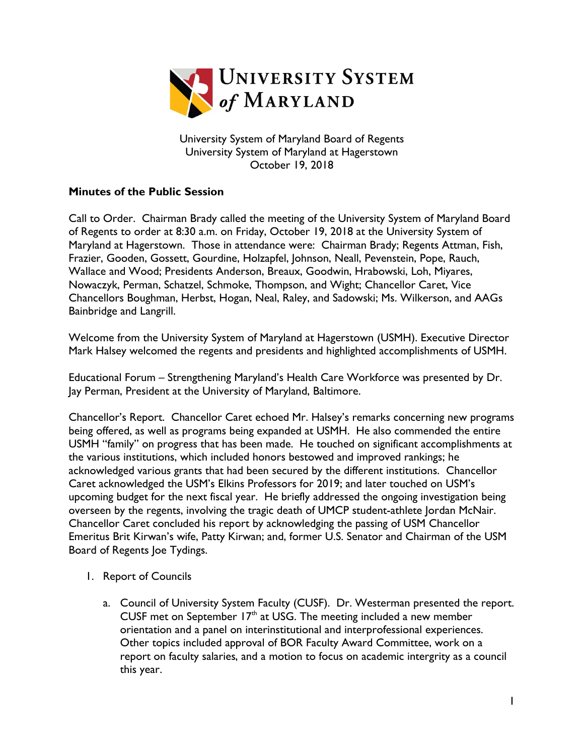

University System of Maryland Board of Regents University System of Maryland at Hagerstown October 19, 2018

## **Minutes of the Public Session**

Call to Order. Chairman Brady called the meeting of the University System of Maryland Board of Regents to order at 8:30 a.m. on Friday, October 19, 2018 at the University System of Maryland at Hagerstown. Those in attendance were: Chairman Brady; Regents Attman, Fish, Frazier, Gooden, Gossett, Gourdine, Holzapfel, Johnson, Neall, Pevenstein, Pope, Rauch, Wallace and Wood; Presidents Anderson, Breaux, Goodwin, Hrabowski, Loh, Miyares, Nowaczyk, Perman, Schatzel, Schmoke, Thompson, and Wight; Chancellor Caret, Vice Chancellors Boughman, Herbst, Hogan, Neal, Raley, and Sadowski; Ms. Wilkerson, and AAGs Bainbridge and Langrill.

Welcome from the University System of Maryland at Hagerstown (USMH). Executive Director Mark Halsey welcomed the regents and presidents and highlighted accomplishments of USMH.

Educational Forum – Strengthening Maryland's Health Care Workforce was presented by Dr. Jay Perman, President at the University of Maryland, Baltimore.

Chancellor's Report. Chancellor Caret echoed Mr. Halsey's remarks concerning new programs being offered, as well as programs being expanded at USMH. He also commended the entire USMH "family" on progress that has been made. He touched on significant accomplishments at the various institutions, which included honors bestowed and improved rankings; he acknowledged various grants that had been secured by the different institutions. Chancellor Caret acknowledged the USM's Elkins Professors for 2019; and later touched on USM's upcoming budget for the next fiscal year. He briefly addressed the ongoing investigation being overseen by the regents, involving the tragic death of UMCP student-athlete Jordan McNair. Chancellor Caret concluded his report by acknowledging the passing of USM Chancellor Emeritus Brit Kirwan's wife, Patty Kirwan; and, former U.S. Senator and Chairman of the USM Board of Regents Joe Tydings.

- 1. Report of Councils
	- a. Council of University System Faculty (CUSF). Dr. Westerman presented the report. CUSF met on September  $17<sup>th</sup>$  at USG. The meeting included a new member orientation and a panel on interinstitutional and interprofessional experiences. Other topics included approval of BOR Faculty Award Committee, work on a report on faculty salaries, and a motion to focus on academic intergrity as a council this year.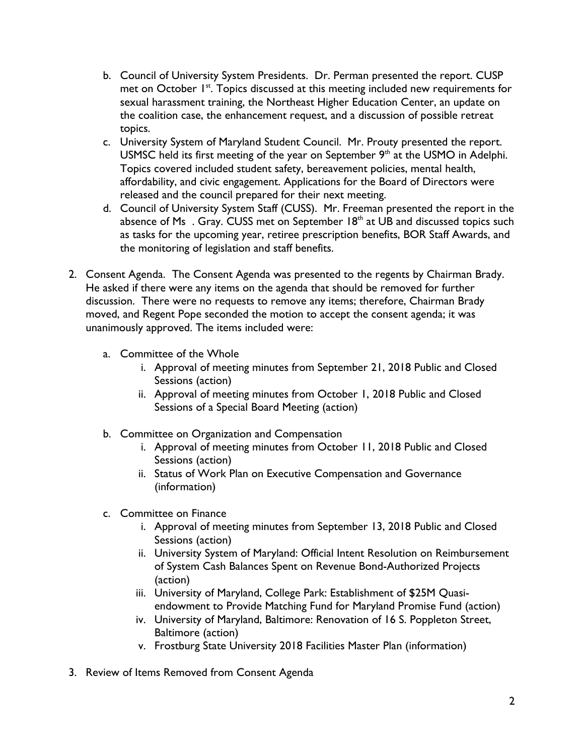- b. Council of University System Presidents. Dr. Perman presented the report. CUSP met on October 1<sup>st</sup>. Topics discussed at this meeting included new requirements for sexual harassment training, the Northeast Higher Education Center, an update on the coalition case, the enhancement request, and a discussion of possible retreat topics.
- c. University System of Maryland Student Council. Mr. Prouty presented the report. USMSC held its first meeting of the year on September 9<sup>th</sup> at the USMO in Adelphi. Topics covered included student safety, bereavement policies, mental health, affordability, and civic engagement. Applications for the Board of Directors were released and the council prepared for their next meeting.
- d. Council of University System Staff (CUSS). Mr. Freeman presented the report in the absence of Ms. Gray. CUSS met on September 18<sup>th</sup> at UB and discussed topics such as tasks for the upcoming year, retiree prescription benefits, BOR Staff Awards, and the monitoring of legislation and staff benefits.
- 2. Consent Agenda. The Consent Agenda was presented to the regents by Chairman Brady. He asked if there were any items on the agenda that should be removed for further discussion. There were no requests to remove any items; therefore, Chairman Brady moved, and Regent Pope seconded the motion to accept the consent agenda; it was unanimously approved. The items included were:
	- a. Committee of the Whole
		- i. Approval of meeting minutes from September 21, 2018 Public and Closed Sessions (action)
		- ii. Approval of meeting minutes from October 1, 2018 Public and Closed Sessions of a Special Board Meeting (action)
	- b. Committee on Organization and Compensation
		- i. Approval of meeting minutes from October 11, 2018 Public and Closed Sessions (action)
		- ii. Status of Work Plan on Executive Compensation and Governance (information)
	- c. Committee on Finance
		- i. Approval of meeting minutes from September 13, 2018 Public and Closed Sessions (action)
		- ii. University System of Maryland: Official Intent Resolution on Reimbursement of System Cash Balances Spent on Revenue Bond-Authorized Projects (action)
		- iii. University of Maryland, College Park: Establishment of \$25M Quasiendowment to Provide Matching Fund for Maryland Promise Fund (action)
		- iv. University of Maryland, Baltimore: Renovation of 16 S. Poppleton Street, Baltimore (action)
		- v. Frostburg State University 2018 Facilities Master Plan (information)
- 3. Review of Items Removed from Consent Agenda